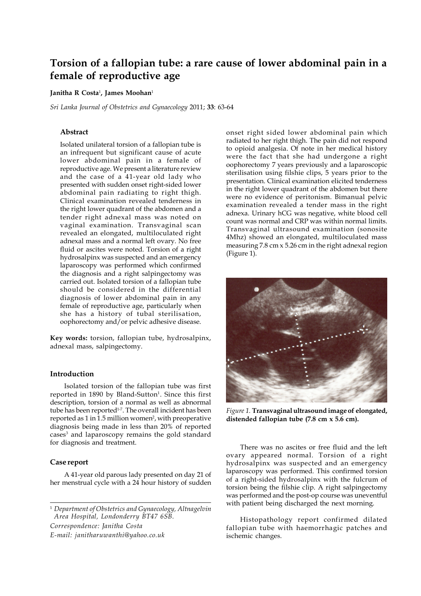# **Torsion of a fallopian tube: a rare cause of lower abdominal pain in a female of reproductive age**

# **Janitha R Costa**<sup>1</sup> **, James Moohan**<sup>1</sup>

*Sri Lanka Journal of Obstetrics and Gynaecology* 2011; **33**: 63-64

# **Abstract**

Isolated unilateral torsion of a fallopian tube is an infrequent but significant cause of acute lower abdominal pain in a female of reproductive age. We present a literature review and the case of a 41-year old lady who presented with sudden onset right-sided lower abdominal pain radiating to right thigh. Clinical examination revealed tenderness in the right lower quadrant of the abdomen and a tender right adnexal mass was noted on vaginal examination. Transvaginal scan revealed an elongated, multiloculated right adnexal mass and a normal left ovary. No free fluid or ascites were noted. Torsion of a right hydrosalpinx was suspected and an emergency laparoscopy was performed which confirmed the diagnosis and a right salpingectomy was carried out. Isolated torsion of a fallopian tube should be considered in the differential diagnosis of lower abdominal pain in any female of reproductive age, particularly when she has a history of tubal sterilisation, oophorectomy and/or pelvic adhesive disease.

**Key words:** torsion, fallopian tube, hydrosalpinx, adnexal mass, salpingectomy.

## **Introduction**

Isolated torsion of the fallopian tube was first reported in 1890 by Bland-Sutton<sup>1</sup>. Since this first description, torsion of a normal as well as abnormal tube has been reported<sup>1-7</sup>. The overall incident has been reported as 1 in 1.5 million women<sup>2</sup>, with preoperative diagnosis being made in less than 20% of reported cases<sup>3</sup> and laparoscopy remains the gold standard for diagnosis and treatment.

#### **Case report**

A 41-year old parous lady presented on day 21 of her menstrual cycle with a 24 hour history of sudden

<sup>1</sup> *Department of Obstetrics and Gynaecology, Altnagelvin Area Hospital, Londonderry BT47 6SB.*

*Correspondence: Janitha Costa*

*E-mail: janitharuwanthi@yahoo.co.uk*

onset right sided lower abdominal pain which radiated to her right thigh. The pain did not respond to opioid analgesia. Of note in her medical history were the fact that she had undergone a right oophorectomy 7 years previously and a laparoscopic sterilisation using filshie clips, 5 years prior to the presentation. Clinical examination elicited tenderness in the right lower quadrant of the abdomen but there were no evidence of peritonism. Bimanual pelvic examination revealed a tender mass in the right adnexa. Urinary hCG was negative, white blood cell count was normal and CRP was within normal limits. Transvaginal ultrasound examination (sonosite 4Mhz) showed an elongated, multiloculated mass measuring 7.8 cm x 5.26 cm in the right adnexal region (Figure 1).



*Figure 1.* **Transvaginal ultrasound image of elongated, distended fallopian tube (7.8 cm x 5.6 cm).**

There was no ascites or free fluid and the left ovary appeared normal. Torsion of a right hydrosalpinx was suspected and an emergency laparoscopy was performed. This confirmed torsion of a right-sided hydrosalpinx with the fulcrum of torsion being the filshie clip. A right salpingectomy was performed and the post-op course was uneventful with patient being discharged the next morning.

Histopathology report confirmed dilated fallopian tube with haemorrhagic patches and ischemic changes.